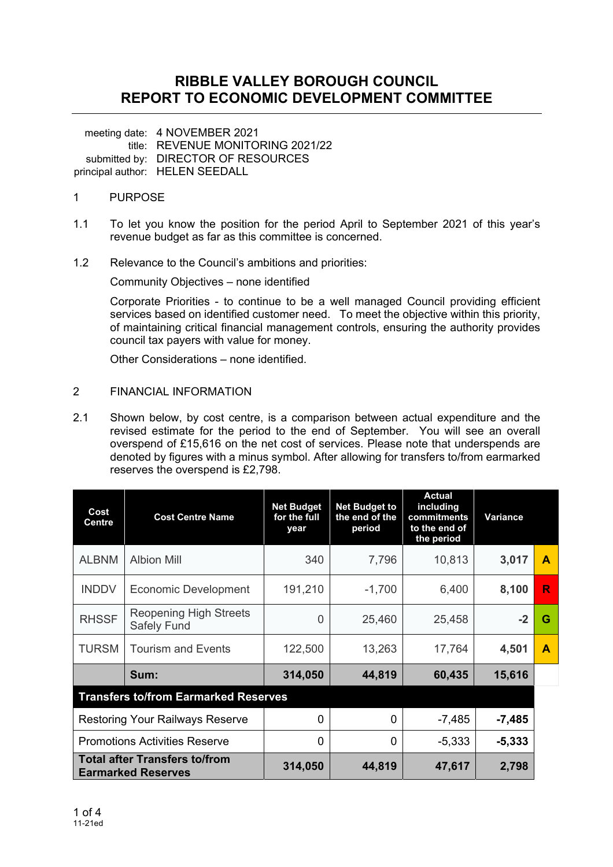## **RIBBLE VALLEY BOROUGH COUNCIL REPORT TO ECONOMIC DEVELOPMENT COMMITTEE**

meeting date: 4 NOVEMBER 2021 title: REVENUE MONITORING 2021/22 submitted by: DIRECTOR OF RESOURCES principal author: HELEN SEEDALL

### 1 PURPOSE

- 1.1 To let you know the position for the period April to September 2021 of this year's revenue budget as far as this committee is concerned.
- 1.2 Relevance to the Council's ambitions and priorities:

Community Objectives – none identified

Corporate Priorities - to continue to be a well managed Council providing efficient services based on identified customer need. To meet the objective within this priority, of maintaining critical financial management controls, ensuring the authority provides council tax payers with value for money.

Other Considerations – none identified.

#### 2 FINANCIAL INFORMATION

2.1 Shown below, by cost centre, is a comparison between actual expenditure and the revised estimate for the period to the end of September. You will see an overall overspend of £15,616 on the net cost of services. Please note that underspends are denoted by figures with a minus symbol. After allowing for transfers to/from earmarked reserves the overspend is £2,798.

| Cost<br><b>Centre</b>                                             | <b>Cost Centre Name</b>                             | <b>Net Budget to</b><br><b>Net Budget</b><br>the end of the<br>for the full<br>period<br>year |          | <b>Actual</b><br>including<br>commitments<br>to the end of<br>the period | Variance |   |  |  |
|-------------------------------------------------------------------|-----------------------------------------------------|-----------------------------------------------------------------------------------------------|----------|--------------------------------------------------------------------------|----------|---|--|--|
| <b>ALBNM</b>                                                      | <b>Albion Mill</b>                                  | 340                                                                                           | 7,796    | 10,813                                                                   | 3,017    | A |  |  |
| <b>INDDV</b>                                                      | <b>Economic Development</b>                         | 191,210                                                                                       | $-1,700$ | 6,400                                                                    | 8,100    | R |  |  |
| <b>RHSSF</b>                                                      | <b>Reopening High Streets</b><br><b>Safely Fund</b> | 0                                                                                             | 25,460   | 25,458                                                                   | $-2$     | G |  |  |
| <b>TURSM</b>                                                      | <b>Tourism and Events</b>                           | 122,500                                                                                       | 13,263   | 17,764                                                                   | 4,501    | A |  |  |
|                                                                   | Sum:                                                | 314,050                                                                                       | 44,819   | 60,435                                                                   | 15,616   |   |  |  |
| <b>Transfers to/from Earmarked Reserves</b>                       |                                                     |                                                                                               |          |                                                                          |          |   |  |  |
|                                                                   | <b>Restoring Your Railways Reserve</b>              | 0                                                                                             | $\Omega$ | $-7,485$                                                                 | $-7,485$ |   |  |  |
| <b>Promotions Activities Reserve</b>                              |                                                     | 0                                                                                             | 0        | $-5,333$                                                                 | $-5,333$ |   |  |  |
| <b>Total after Transfers to/from</b><br><b>Earmarked Reserves</b> |                                                     | 314,050                                                                                       | 44,819   | 47,617                                                                   | 2,798    |   |  |  |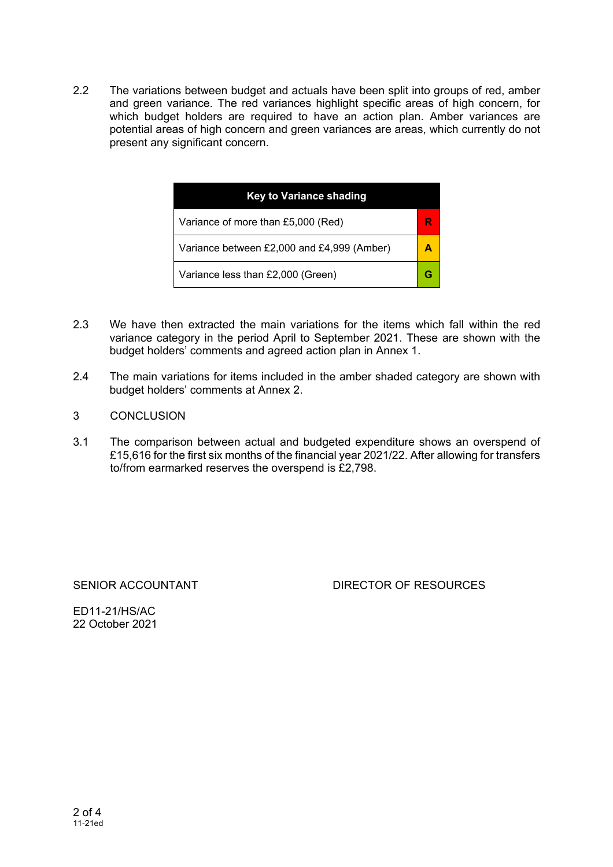2.2 The variations between budget and actuals have been split into groups of red, amber and green variance. The red variances highlight specific areas of high concern, for which budget holders are required to have an action plan. Amber variances are potential areas of high concern and green variances are areas, which currently do not present any significant concern.

| <b>Key to Variance shading</b>             |  |  |  |  |  |
|--------------------------------------------|--|--|--|--|--|
| Variance of more than £5,000 (Red)         |  |  |  |  |  |
| Variance between £2,000 and £4,999 (Amber) |  |  |  |  |  |
| Variance less than £2,000 (Green)          |  |  |  |  |  |

- 2.3 We have then extracted the main variations for the items which fall within the red variance category in the period April to September 2021. These are shown with the budget holders' comments and agreed action plan in Annex 1.
- 2.4 The main variations for items included in the amber shaded category are shown with budget holders' comments at Annex 2.
- 3 CONCLUSION
- 3.1 The comparison between actual and budgeted expenditure shows an overspend of £15,616 for the first six months of the financial year 2021/22. After allowing for transfers to/from earmarked reserves the overspend is £2,798.

## SENIOR ACCOUNTANT DIRECTOR OF RESOURCES

ED11-21/HS/AC 22 October 2021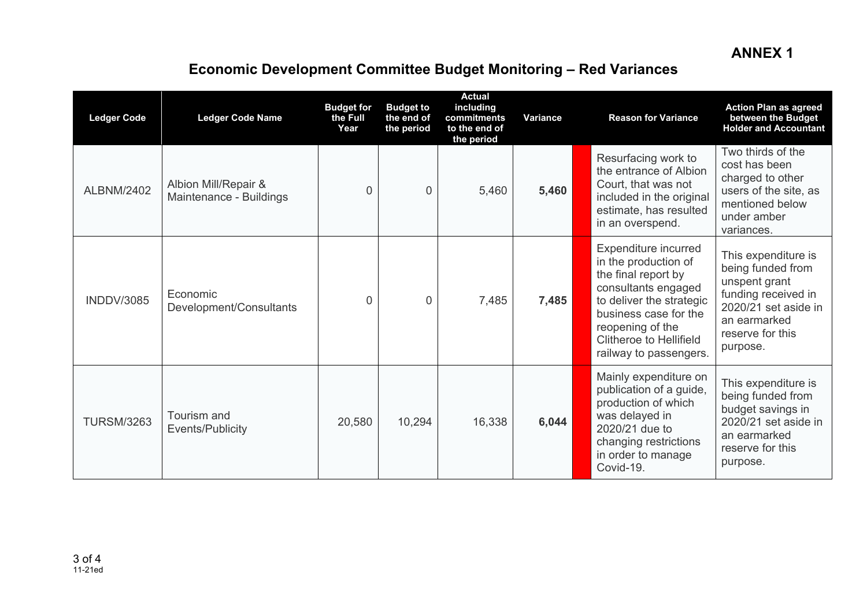## **ANNEX 1**

# **Economic Development Committee Budget Monitoring – Red Variance s**

| <b>Ledger Code</b> | <b>Ledger Code Name</b>                         | <b>Budget for</b><br>the Full<br>Year | <b>Budget to</b><br>the end of<br>the period | <b>Actual</b><br>including<br>commitments<br>to the end of<br>the period | Variance | <b>Reason for Variance</b>                                                                                                                                                                                                                                                                                                                                                                  | <b>Action Plan as agreed</b><br>between the Budget<br><b>Holder and Accountant</b> |
|--------------------|-------------------------------------------------|---------------------------------------|----------------------------------------------|--------------------------------------------------------------------------|----------|---------------------------------------------------------------------------------------------------------------------------------------------------------------------------------------------------------------------------------------------------------------------------------------------------------------------------------------------------------------------------------------------|------------------------------------------------------------------------------------|
| <b>ALBNM/2402</b>  | Albion Mill/Repair &<br>Maintenance - Buildings | $\Omega$                              | $\Omega$                                     | 5,460                                                                    | 5,460    | Two thirds of the<br>Resurfacing work to<br>cost has been<br>the entrance of Albion<br>charged to other<br>Court, that was not<br>users of the site, as<br>included in the original<br>mentioned below<br>estimate, has resulted<br>under amber<br>in an overspend.<br>variances.                                                                                                           |                                                                                    |
| <b>INDDV/3085</b>  | Economic<br>Development/Consultants             | 0                                     | $\Omega$                                     | 7,485                                                                    | 7,485    | Expenditure incurred<br>This expenditure is<br>in the production of<br>being funded from<br>the final report by<br>unspent grant<br>consultants engaged<br>funding received in<br>to deliver the strategic<br>2020/21 set aside in<br>business case for the<br>an earmarked<br>reopening of the<br>reserve for this<br><b>Clitheroe to Hellifield</b><br>purpose.<br>railway to passengers. |                                                                                    |
| <b>TURSM/3263</b>  | Tourism and<br>Events/Publicity                 | 20,580                                | 10,294                                       | 16,338                                                                   | 6,044    | Mainly expenditure on<br>This expenditure is<br>publication of a guide,<br>being funded from<br>production of which<br>budget savings in<br>was delayed in<br>2020/21 set aside in<br>2020/21 due to<br>an earmarked<br>changing restrictions<br>reserve for this<br>in order to manage<br>purpose.<br>Covid-19.                                                                            |                                                                                    |